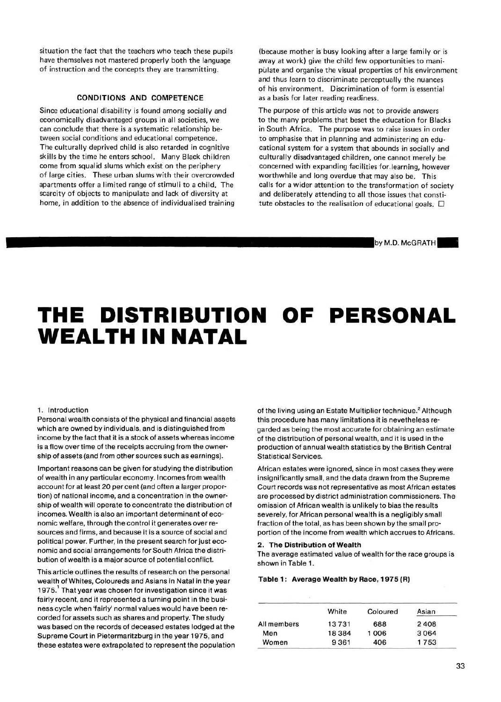**situation the fact that the teachers who teach these pupils have themselves not mastered properly both the language of instruction and the concepts they are transmitting.** 

## **CONDITIONS AND COMPETENCE**

**Since educational disability is found among socially and economically disadvantaged groups in all societies, we can conclude that there is a systematic relationship between social conditions and educational competence. The culturally deprived child is also retarded in cognitive skills by the time he enters school. Many Black children come from squalid slums which exist on the periphery of large cities. These urban slums with their overcrowded apartments offer a limited range of stimuli to a child. The scarcity of objects to manipulate and lack of diversity at home, in addition to the absence of individualised training**  **(because mother is busy looking after a large family or is away at work) give the child few opportunities to manipulate and organise the visual properties of his environment and thus learn to discriminate perceptually the nuances of his environment. Discrimination of form is essential as a basis for later reading readiness.** 

**The purpose of this article was not to provide answers to the many problems that beset the education for Blacks in South Africa. The purpose was to raise issues in order to emphasise that in planning and administering an educational system for a system that abounds in socially and culturally disadvantaged children, one cannot merely be concerned with expanding facilities for.learning, however worthwhile and long overdue that may also be. This calls for a wider attention to the transformation of society and deliberately attending to all those issues that consti**tute obstacles to the realisation of educational goals.  $\Box$ 

by M.D. McGRATH

# **THE DISTRIBUTION OF PERSONAL WEALTH IN NATAL**

#### **1. Introduction**

**Personal wealth consists of the physical and financial assets which are owned by individuals, and is distinguished from income by the fact that it is a stock of assets whereas income is a flow over time of the receipts accruing from the ownership of assets (and from other sources such as earnings).** 

**Important reasons can be given for studying the distribution of wealth in any particular economy. Incomes from wealth account for at least 20 per cent (and often a larger proportion) of national income, and a concentration in the ownership of wealth will operate to concentrate the distribution of incomes. Wealth is also an important determinant of economic welfare, through the control it generates over resources and firms, and because it is a source of social and political power. Further, in the present search for just economic and social arrangements for South Africa the distribution of wealth is a major source of potential conflict.** 

**This article outlines the results of research on the personal wealth of Whites, Coloureds and Asians in Natal in the year 1975. That year was chosen for investigation since it was fairly recent, and it represented a turning point in the business cycle when 'fairly' normal values would have been recorded for assets such as shares and property. The study was based on the records of deceased estates lodged at the Supreme Court in Pietermaritzburg in the year 1975, and these estates were extrapolated to represent the population** 

**of the living using an Estate Multiplier technique.<sup>2</sup> Although this procedure has many limitations it is nevetheless regarded as being the most accurate for obtaining an estimate of the distribution of personal wealth, and it is used in the production of annual wealth statistics by the British Central Statistical Services.** 

**African estates were ignored, since in most cases they were insignificantly small, and the data drawn from the Supreme Court records was not representative as most African estates are processed by district administration commissioners. The omission of African wealth is unlikely to bias the results severely, for African personal wealth is a negligibly small fraction of the total, as has been shown by the smail proportion of the income from wealth which accrues to Africans.** 

#### **2. The Distribution of Wealth**

**The average estimated value of wealth for the race groups is shown in Table 1.** 

#### **Table 1 : Average Wealth by Race, 1975 (R)**

|             | White   | Coloured | Asian |
|-------------|---------|----------|-------|
| All members | 13731   | 688      | 2408  |
| Men         | 18 3 84 | 1006     | 3064  |
| Women       | 9361    | 406      | 1753  |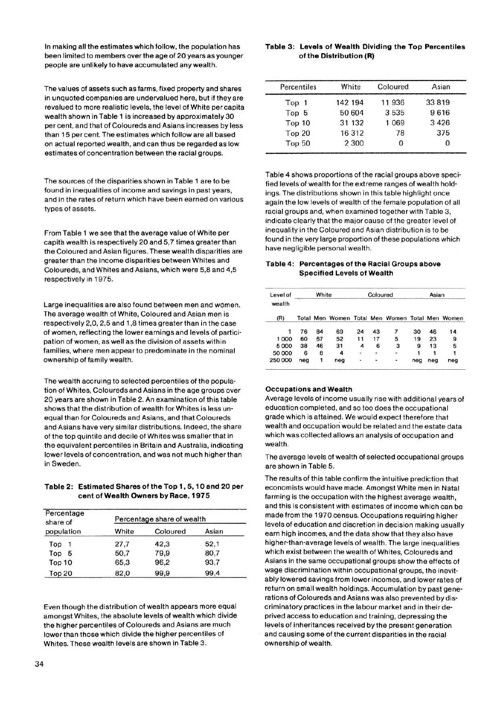In making all the estimates which follow, the population has been limited to members over the age of 20 years as younger people are unlikely to have accumulated any wealth.

The values of assets such as farms, fixed property and shares in unquoted companies are undervalued here, but if they are revalued to more realistic levels, the level of White per capita wealth shown in Table 1 is increased by approximately 30 per cent, and that of Coloureds and Asians increases by less than 15 per cent. The estimates which follow are all based on actual reported wealth, and can thus be regarded as low estimates of concentration between the racial groups.

The sources of the disparities shown in Table 1 are to be found in inequalities of income and savings in past years, and in the rates of return which have been earned on various types of assets.

From Table 1 we see that the average value of White per capita wealth is respectively 20 and 5,7 times greater than the Coloured and Asian figures. These wealth disparities are greater than the income disparities between Whites and Coloureds, and Whites and Asians, which were 5,8 and 4,5 respectively in 1975.

Large inequalities are also found between men and women. The average wealth of White, Coloured and Asian men is respectively 2,0, 2,5 and 1,8 times greater than in the case of women, reflecting the lower earnings and levels of participation of women, as well as the division of assets within families, where men appear to predominate in the nominal ownership of family wealth.

The wealth accruing to selected percentiles of the population of Whites, Coloureds and Asians in the age groups over 20 years are shown in Table 2. An examination of this table shows that the distribution of wealth for Whites is less unequal than for Coloureds and Asians, and that Coloureds and Asians have very similar distributions. Indeed, the share of the top quintile and decile of Whites was smaller that in the equivalent percentiles in Britain and Australia, indicating lower levels of concentration, and was not much higher than in Sweden.

### **Table 2: Estimated Shares of the Top 1,5,10 and 20 per cent of Wealth Owners by Race, 1975**

| Percentage<br>share of | Percentage share of wealth |          |       |  |  |
|------------------------|----------------------------|----------|-------|--|--|
| population             | White                      | Coloured | Asian |  |  |
| Top                    | 27,7                       | 42,3     | 52,1  |  |  |
| Top<br>5               | 50,7                       | 79.9     | 80.7  |  |  |
| Top 10                 | 65.3                       | 96,2     | 93,7  |  |  |
| Top 20                 | 82,0                       | 99.9     | 99.4  |  |  |

Even though the distribution of wealth appears more equal amongst Whites, the absolute levels of wealth which divide the higher percentiles of Coloureds and Asians are much lower than those which divide the higher percentiles of Whites. These wealth levels are shown in Table 3.

#### **Table 3: Levels of Wealth Dividing the Top Percentiles of the Distribution (R)**

| Percentiles   | White   | Coloured | Asian   |
|---------------|---------|----------|---------|
| Top 1         | 142 194 | 11936    | 33819   |
| Top 5         | 50 604  | 3535     | 9616    |
| Top 10        | 31 132  | 1 0 6 9  | 3 4 2 6 |
| <b>Top 20</b> | 16312   | 78       | 375     |
| <b>Top 50</b> | 2 3 0 0 | 0        | 0       |

Table 4 shows proportions of the racial groups above specified levels of wealth for the extreme ranges of wealth holdings. The distributions shown in this table highlight once again the low levels of wealth of the female population of all racial groups and, when examined together with Table 3, indicate clearly that the major cause of the greater level of inequality in the Coloured and Asian distribution is to be found in the very large proportion of these populations which have negligible personal wealth.

### **Table 4: Percentages of the Racial Groups above Specified Levels of Wealth**

| Level of<br>wealth | White |    | Coloured |        |               | Asian                                           |     |     |        |
|--------------------|-------|----|----------|--------|---------------|-------------------------------------------------|-----|-----|--------|
| (R)                |       |    |          |        |               | Total Men Women Total Men Women Total Men Women |     |     |        |
| 1                  | 76    | 84 | 69       | 24     | 43            |                                                 | 30  | 46  | 14     |
| 1000               | 60    | 67 | 52       | 11     | 17            | 5                                               | 19  | 23  |        |
| 5000               | 38    | 46 | 31       | 4      | 6             | з                                               | 9   | 13  | 9<br>5 |
| 50 000             | 6     | 8  | 4        | $\sim$ | $\sim$        | $\langle \bullet \rangle$                       |     |     |        |
| 250000             | neg   | 1  | neg      | ÷.     | $\frac{1}{2}$ | $\sim$                                          | neg | nea | neg    |

#### **Occupations and Wealth**

Average levels of income usually rise with additional years of education completed, and so too does the occupational grade which is attained. We would expect therefore that wealth and occupation would be related and the estate data which was collected allows an analysis of occupation and wealth.

The average levels of wealth of selected occupational groups are shown in Table 5.

The results of this table confirm the intuitive prediction that economists would have made. Amongst White men in Natal farming is the occupation with the highest average wealth, and this is consistent with estimates of income which can be made from the 1970 census. Occupations requiring higher levels of education and discretion in decision making usually earn high incomes, and the data show that they also have higher-than-average levels of wealth. The large inequalities which exist between the wealth of Whites, Coloureds and Asians in the same occupational groups show the effects of wage discrimination within occupational groups, the inevitably lowered savings from lower incomes, and lower rates of return on small wealth holdings. Accumulation by past generations of Coloureds and Asians was also prevented by discriminatory practices in the labour market and in their deprived access to education and training, depressing the levels of inheritances received by the present generation and causing some of the current disparities in the racial ownership of wealth.